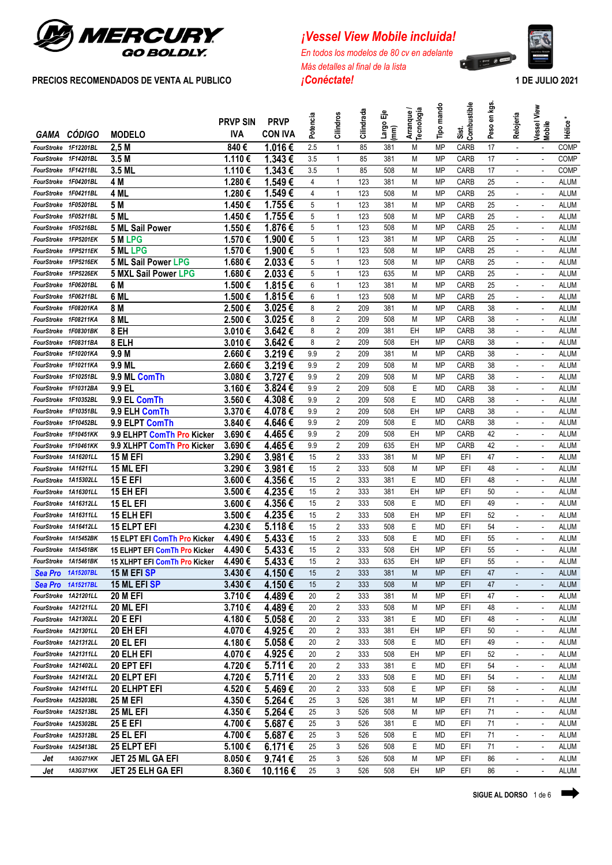

# *¡Vessel View Mobile incluida!*

*En todos los modelos de 80 cv en adelante Más detalles al final de la lista*



|                      |                                              |                                              | <b>PRVP SIN</b>  | <b>PRVP</b>      |                |                         |            | 喦                       |                         | Tipo mando | Sist.<br>Combustible | en kgs.  |                               | View                     |                            |
|----------------------|----------------------------------------------|----------------------------------------------|------------------|------------------|----------------|-------------------------|------------|-------------------------|-------------------------|------------|----------------------|----------|-------------------------------|--------------------------|----------------------------|
| GAMA                 | <b>CÓDIGO</b>                                | <b>MODELO</b>                                | <b>IVA</b>       | <b>CON IVA</b>   | Potencia       | Cilindros               | Cilindrada | Largo<br>$\binom{m}{k}$ | Arranque /<br>ecnología |            |                      | Peso     | Relojería                     | Vessel<br>Mobile         | Hélice                     |
| FourStroke           | 1F12201BL                                    | 2,5M                                         | 840€             | 1.016€           | 2.5            | 1                       | 85         | 381                     | M                       | <b>MP</b>  | CARB                 | 17       | $\overline{\phantom{a}}$      |                          | <b>COMP</b>                |
| FourStroke 1F14201BL |                                              | 3.5M                                         | 1.110€           | 1.343€           | 3.5            | $\mathbf{1}$            | 85         | 381                     | M                       | <b>MP</b>  | CARB                 | 17       | $\mathbf{r}$                  | $\sim$                   | COMP                       |
| FourStroke 1F14211BL |                                              | 3.5 ML                                       | 1.110€           | 1.343€           | 3.5            | 1                       | 85         | 508                     | М                       | MP         | CARB                 | 17       | $\overline{\phantom{a}}$      | $\sim$                   | COMP                       |
| FourStroke           | 1F04201BL                                    | 4 M                                          | 1.280€           | 1.549€           | $\overline{4}$ | 1                       | 123        | 381                     | M                       | MP         | CARB                 | 25       | $\omega$                      | $\sim$                   | <b>ALUM</b>                |
|                      | FourStroke 1F04211BL                         | 4 ML                                         | 1.280€           | 1.549€           | 4              | 1                       | 123        | 508                     | M                       | MP         | CARB                 | 25       | $\blacksquare$                |                          | <b>ALUM</b>                |
| FourStroke           | 1F05201BL                                    | 5 M                                          | 1.450€           | 1.755€           | 5              | 1                       | 123        | 381                     | M                       | MP         | CARB                 | 25       |                               |                          | <b>ALUM</b>                |
|                      | FourStroke 1F05211BL                         | 5 ML                                         | 1.450€           | 1.755€           | 5              | 1                       | 123        | 508                     | М                       | MP         | CARB                 | 25       | $\blacksquare$                | $\overline{\phantom{a}}$ | <b>ALUM</b>                |
| FourStroke           | 1F05216BL                                    | 5 ML Sail Power                              | 1.550€           | 1.876€           | 5              | 1                       | 123        | 508                     | M                       | MP         | CARB                 | 25       | $\blacksquare$                | $\blacksquare$           | <b>ALUM</b>                |
| FourStroke           | 1FP5201EK                                    | 5 M LPG                                      | 1.570€           | 1.900€           | 5              | 1                       | 123        | 381                     | M                       | <b>MP</b>  | CARB                 | 25       | $\blacksquare$                | $\overline{\phantom{a}}$ | <b>ALUM</b>                |
| FourStroke           | 1FP5211EK                                    | 5 ML LPG                                     | 1.570€           | 1.900€           | 5              | 1                       | 123        | 508                     | М                       | MP         | CARB                 | 25       | $\overline{\phantom{a}}$      | $\blacksquare$           | <b>ALUM</b>                |
| FourStroke           | 1FP5216EK                                    | <b>5 ML Sail Power LPG</b>                   | 1.680€           | 2.033€           | 5              | 1                       | 123        | 508                     | M                       | MP         | CARB                 | 25       | $\omega$                      | $\sim$                   | <b>ALUM</b>                |
| FourStroke           | 1FP5226EK                                    | <b>5 MXL Sail Power LPG</b>                  | 1.680€           | 2.033€           | 5              | 1                       | 123        | 635                     | M                       | MP         | CARB                 | 25       | $\overline{\phantom{a}}$      |                          | <b>ALUM</b>                |
| FourStroke           | 1F06201BL                                    | 6 M                                          | 1.500€           | 1.815€           | 6              | 1                       | 123        | 381                     | M                       | MP         | CARB                 | 25       | $\overline{a}$                |                          | <b>ALUM</b>                |
|                      | FourStroke 1F06211BL                         | 6 ML                                         | 1.500€           | 1.815€           | 6              | 1                       | 123        | 508                     | M                       | MP         | CARB                 | 25       | $\sim$                        | $\overline{\phantom{a}}$ | <b>ALUM</b>                |
| FourStroke           | 1F08201KA                                    | 8 M                                          | 2.500€           | 3.025€           | 8              | $\overline{2}$          | 209        | 381                     | М                       | <b>MP</b>  | CARB                 | 38       | $\mathbf{r}$                  | ä,                       | <b>ALUM</b>                |
|                      | FourStroke 1F08211KA                         | 8 ML                                         | 2.500€           | 3.025€           | 8              | $\overline{2}$          | 209        | 508                     | M                       | MP         | CARB                 | 38       | $\blacksquare$                | $\overline{a}$           | <b>ALUM</b>                |
| FourStroke           | 1F08301BK                                    | 8 EH                                         | 3.010€           | 3.642€           | 8              | 2                       | 209        | 381                     | EH                      | MP         | CARB                 | 38       | $\mathbf{r}$                  | $\sim$                   | <b>ALUM</b>                |
|                      | FourStroke 1F08311BA                         | 8 ELH                                        | 3.010€           | 3.642€           | 8              | 2                       | 209        | 508                     | EΗ                      | MP         | CARB                 | 38       | $\omega$                      | $\sim$                   | <b>ALUM</b>                |
|                      | FourStroke 1F10201KA                         | 9.9 M                                        | 2.660€           | 3.219€           | 9.9            | 2                       | 209        | 381                     | М                       | MP         | CARB                 | 38       | $\blacksquare$                |                          | <b>ALUM</b>                |
|                      | FourStroke 1F10211KA                         | 9.9 ML                                       | 2.660€           | 3.219€           | 9.9            | 2                       | 209        | 508                     | М                       | MP         | CARB                 | 38       | $\overline{a}$                |                          | <b>ALUM</b>                |
|                      | FourStroke 1F10251BL                         | 9.9 ML ComTh                                 | 3.080€           | 3.727€           | 9.9            | $\overline{2}$          | 209        | 508                     | M                       | MP         | CARB                 | 38       | $\blacksquare$                | $\blacksquare$           | <b>ALUM</b>                |
|                      | FourStroke 1F10312BA                         | 9.9 EL                                       | 3.160€           | 3.824€           | 9.9            | $\overline{2}$          | 209        | 508                     | Ε                       | MD         | CARB                 | 38       | $\mathbf{r}$                  | ÷,                       | <b>ALUM</b>                |
|                      | FourStroke 1F10352BL                         | 9.9 EL ComTh                                 | 3.560€           | 4.308€           | 9.9            | 2                       | 209        | 508                     | E                       | MD         | CARB                 | 38       | $\blacksquare$                | $\overline{a}$           | <b>ALUM</b>                |
| FourStroke           | 1F10351BL                                    | 9.9 ELH ComTh                                | 3.370€           | 4.078€           | 9.9            | 2                       | 209        | 508                     | EΗ                      | MP         | CARB                 | 38       | $\omega$                      | ä,                       | <b>ALUM</b>                |
| FourStroke           | 1F10452BL                                    | 9.9 ELPT ComTh                               | 3.840€           | 4.646€           | 9.9            | 2                       | 209        | 508                     | E                       | MD         | CARB                 | 38       | $\mathbf{r}$                  | $\overline{\phantom{a}}$ | <b>ALUM</b>                |
| FourStroke           | 1F10451KK                                    | 9.9 ELHPT ComTh Pro Kicker                   | 3.690€           | 4.465€           | 9.9            | 2                       | 209        | 508                     | EΗ                      | MP         | CARB                 | 42       | $\overline{\phantom{a}}$      | $\sim$                   | <b>ALUM</b>                |
| FourStroke           | 1F10461KK                                    | 9.9 XLHPT ComTh Pro Kicker                   | 3.690€           | 4.465€           | 9.9            | 2                       | 209        | 635                     | EH                      | MP         | CARB                 | 42       |                               |                          | <b>ALUM</b>                |
|                      | FourStroke 1A16201LL                         | <b>15 M EFI</b>                              | 3.290€           | 3.981€           | 15             | $\overline{2}$          | 333        | 381                     | M                       | MP         | EFI                  | 47       | $\blacksquare$                | $\blacksquare$           | <b>ALUM</b>                |
| FourStroke           | 1A16211LL                                    | 15 ML EFI                                    | 3.290€           | 3.981€           | 15             | $\overline{2}$          | 333        | 508                     | M                       | MP         | EFI                  | 48       | $\overline{\phantom{a}}$      | ÷,                       | <b>ALUM</b>                |
| FourStroke 1A15302LL |                                              | <b>15 E EFI</b>                              | 3.600€           | 4.356€           | 15             | $\overline{2}$          | 333        | 381                     | Ε                       | <b>MD</b>  | EFI                  | 48       | $\blacksquare$                |                          | <b>ALUM</b>                |
| FourStroke 1A16301LL |                                              | 15 EH EFI                                    | 3.500€           | 4.235€           | 15             | $\overline{2}$          | 333        | 381                     | EH                      | <b>MP</b>  | EFI                  | 50       | ٠                             |                          | <b>ALUM</b>                |
| FourStroke           | 1A16312LL                                    | 15 EL EFI                                    | 3.600€           | 4.356€           | 15             | 2                       | 333        | 508                     | Ε                       | MD         | EFI                  | 49       | $\mathbf{r}$                  | ÷,                       | <b>ALUM</b>                |
|                      | FourStroke 1A16311LL                         | <b>15 ELH EFI</b>                            | 3.500€           | 4.235€           | 15             | 2                       | 333        | 508                     | EН                      | MP         | EFI                  | 52       | $\blacksquare$                | $\overline{\phantom{a}}$ | <b>ALUM</b>                |
|                      | FourStroke 1A16412LL                         | <b>15 ELPT EFI</b>                           | 4.230€           | 5.118€           | 15             | 2                       | 333        | 508                     | Е                       | <b>MD</b>  | EFI                  | 54       | $\blacksquare$                | $\blacksquare$           | <b>ALUM</b>                |
| FourStroke           | 1A15452BK                                    | 15 ELPT EFI ComTh Pro Kicker                 | 4.490€           | 5.433€           | 15             | 2<br>$\overline{2}$     | 333        | 508                     | E                       | MD         | EFI                  | 55       | $\blacksquare$                |                          | <b>ALUM</b>                |
|                      | FourStroke 1A15451BK<br>FourStroke 1A15461BK | <b>15 ELHPT EFI ComTh Pro Kicker</b>         | 4.490€<br>4.490€ | 5.433€<br>5.433€ | 15<br>15       | $\overline{\mathbf{c}}$ | 333<br>333 | 508<br>635              | EH<br>EH                | MP<br>MP   | EFI<br>EFI           | 55<br>55 |                               |                          | <b>ALUM</b><br><b>ALUM</b> |
|                      | Sea Pro 1A15207BL                            | 15 XLHPT EFI ComTh Pro Kicker<br>15 M EFI SP | 3.430€           | 4.150€           | 15             | $\overline{2}$          | 333        | 381                     | M                       | <b>MP</b>  | EFI                  | 47       | ٠                             |                          | <b>ALUM</b>                |
|                      | Sea Pro 1A15217BL                            |                                              | 3.430€           | 4.150€           | 15             | $\overline{2}$          | 333        | 508                     | M                       | <b>MP</b>  | EFI                  | 47       |                               |                          | <b>ALUM</b>                |
|                      | FourStroke 1A21201LL                         | 15 ML EFI SP<br><b>20 M EFI</b>              | 3.710€           | 4.489€           | 20             | 2                       | 333        | 381                     | М                       | MP         | EFI                  | 47       | $\mathbf{r}$                  |                          | <b>ALUM</b>                |
|                      | FourStroke 1A21211LL                         | 20 ML EFI                                    | 3.710€           | 4.489€           | 20             | 2                       | 333        | 508                     | М                       | MP         | EFI                  | 48       | $\blacksquare$                | $\overline{\phantom{a}}$ | <b>ALUM</b>                |
|                      | FourStroke 1A21302LL                         |                                              | 4.180€           | 5.058€           | 20             | 2                       | 333        | 381                     | Е                       | MD         | EFI                  | 48       | $\blacksquare$                | $\blacksquare$           | <b>ALUM</b>                |
|                      | FourStroke 1A21301LL                         | 20 E EFI<br>20 EH EFI                        | 4.070€           | 4.925€           | 20             | 2                       | 333        | 381                     | EH                      | MP         | EFI                  | 50       |                               |                          | <b>ALUM</b>                |
|                      | FourStroke 1A21312LL                         | 20 EL EFI                                    | 4.180€           | 5.058€           | 20             | 2                       | 333        | 508                     | Е                       | MD         | EFI                  | 49       | ٠<br>$\overline{\phantom{a}}$ |                          | <b>ALUM</b>                |
|                      | FourStroke 1A21311LL                         | 20 ELH EFI                                   | 4.070€           | 4.925€           | 20             | 2                       | 333        | 508                     | EH                      | MP         | EFI                  | 52       | $\overline{\phantom{a}}$      | $\overline{a}$           | <b>ALUM</b>                |
|                      | FourStroke 1A21402LL                         | 20 EPT EFI                                   | 4.720€           | 5.711€           | 20             | $\overline{2}$          | 333        | 381                     | E                       | MD         | EFI                  | 54       | $\mathbf{r}$                  | ä,                       | <b>ALUM</b>                |
|                      | FourStroke 1A21412LL                         | 20 ELPT EFI                                  | 4.720€           | 5.711€           | 20             | 2                       | 333        | 508                     | Ε                       | MD         | EFI                  | 54       | $\overline{\phantom{a}}$      |                          | <b>ALUM</b>                |
|                      | FourStroke 1A21411LL                         | 20 ELHPT EFI                                 | 4.520€           | 5.469€           | 20             | $\overline{2}$          | 333        | 508                     | E                       | <b>MP</b>  | EFI                  | 58       | $\blacksquare$                | $\omega$                 | <b>ALUM</b>                |
|                      | FourStroke 1A25203BL                         | <b>25 M EFI</b>                              | 4.350€           | 5.264€           | 25             | 3                       | 526        | 381                     | М                       | MP         | EFI                  | 71       | $\overline{\phantom{a}}$      | $\blacksquare$           | <b>ALUM</b>                |
|                      | FourStroke 1A25213BL                         | 25 ML EFI                                    | 4.350€           | 5.264€           | 25             | 3                       | 526        | 508                     | М                       | MP         | EFI                  | 71       | $\blacksquare$                | $\blacksquare$           | <b>ALUM</b>                |
|                      | FourStroke 1A25302BL                         | <b>25 E EFI</b>                              | 4.700€           | 5.687 €          | 25             | 3                       | 526        | 381                     | Ε                       | MD         | EFI                  | 71       | $\blacksquare$                |                          | <b>ALUM</b>                |
|                      | FourStroke 1A25312BL                         | <b>25 EL EFI</b>                             | 4.700€           | 5.687€           | 25             | 3                       | 526        | 508                     | E                       | MD         | EFI                  | 71       | $\blacksquare$                |                          | <b>ALUM</b>                |
|                      | FourStroke 1A25413BL                         | 25 ELPT EFI                                  | 5.100€           | 6.171€           | 25             | 3                       | 526        | 508                     | E                       | MD         | EFI                  | 71       | $\overline{\phantom{a}}$      |                          | <b>ALUM</b>                |
| Jet                  | 1A3G271KK                                    | JET 25 ML GA EFI                             | 8.050€           | 9.741€           | 25             | 3                       | 526        | 508                     | М                       | <b>MP</b>  | EFI                  | 86       | $\frac{1}{2}$                 |                          | ALUM                       |
| Jet                  |                                              |                                              |                  | 10.116€          |                | 3                       |            | 508                     |                         | MP         | EFI                  |          |                               |                          |                            |
|                      | 1A3G371KK                                    | JET 25 ELH GA EFI                            | 8.360€           |                  | 25             |                         | 526        |                         | EH                      |            |                      | 86       | $\overline{\phantom{a}}$      |                          | <b>ALUM</b>                |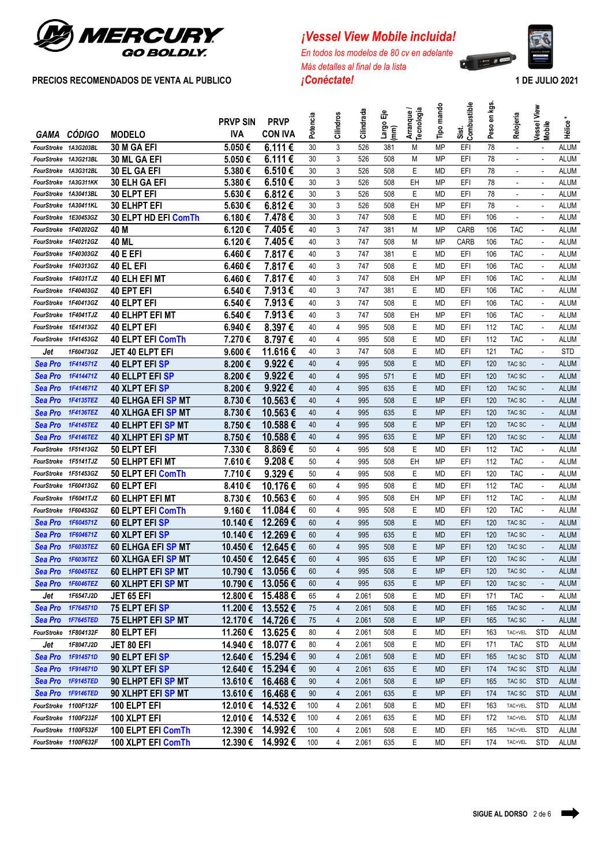

# *¡Vessel View Mobile incluida!*

*En todos los modelos de 80 cv en adelante Más detalles al final de la lista*



|                                              |                      |                                 |                               |                               |          |                |            | ႜౣ                     |                          |            | Sist.<br>Combustible | Peso en kgs |                          |                          |                            |
|----------------------------------------------|----------------------|---------------------------------|-------------------------------|-------------------------------|----------|----------------|------------|------------------------|--------------------------|------------|----------------------|-------------|--------------------------|--------------------------|----------------------------|
|                                              | GAMA CÓDIGO          | <b>MODELO</b>                   | <b>PRVP SIN</b><br><b>IVA</b> | <b>PRVP</b><br><b>CON IVA</b> | Potencia | Cilindros      | Cilindrada | Largo<br>$\widehat{m}$ | Arranque /<br>Tecnología | Tipo mando |                      |             | Relojería                | Vessel View<br>Mobile    | <b>Hélice</b>              |
|                                              |                      | 30 M GA EFI                     | 5.050€                        | $6.111$ €                     | 30       | 3              |            |                        |                          | <b>MP</b>  |                      | 78          |                          |                          |                            |
| FourStroke 1A3G203BL<br>FourStroke 1A3G213BL |                      | <b>30 ML GA EFI</b>             | 5.050€                        | 6.111€                        | 30       | 3              | 526<br>526 | 381<br>508             | M<br>М                   | <b>MP</b>  | EFI<br>EFI           | 78          | $\omega$<br>ä,           | $\overline{\phantom{a}}$ | <b>ALUM</b><br><b>ALUM</b> |
| FourStroke 1A3G312BL                         |                      | 30 EL GA EFI                    | 5.380€                        | 6.510€                        | 30       | 3              | 526        | 508                    | E                        | MD         | EFI                  | 78          | ä,                       | $\sim$                   | <b>ALUM</b>                |
| FourStroke                                   | 1A3G311KK            | 30 ELH GA EFI                   | 5.380€                        | 6.510€                        | 30       | 3              | 526        | 508                    | EH                       | <b>MP</b>  | EFI                  | 78          | ä,                       | $\sim$                   | ALUM                       |
| FourStroke 1A30413BL                         |                      | <b>30 ELPT EFI</b>              | 5.630€                        | 6.812€                        | 30       | 3              | 526        | 508                    | E.                       | MD         | EFI                  | 78          | $\omega$                 | $\omega$                 | ALUM                       |
|                                              | FourStroke 1A30411KL | <b>30 ELHPT EFI</b>             | 5.630€                        | 6.812€                        | 30       | 3              | 526        | 508                    | EH                       | MP         | EFI                  | 78          | $\overline{\phantom{a}}$ |                          | ALUM                       |
|                                              | FourStroke 1E30453GZ | 30 ELPT HD EFI ComTh            | 6.180€                        | 7.478€                        | 30       | 3              | 747        | 508                    | Е                        | <b>MD</b>  | EFI                  | 106         | $\blacksquare$           |                          | <b>ALUM</b>                |
| FourStroke 1F40202GZ                         |                      | 40 M                            | 6.120€                        | 7.405€                        | 40       | 3              | 747        | 381                    | М                        | <b>MP</b>  | <b>CARB</b>          | 106         | <b>TAC</b>               | $\overline{\phantom{a}}$ | <b>ALUM</b>                |
| FourStroke 1F40212GZ                         |                      | 40 ML                           | 6.120€                        | 7.405€                        | 40       | 3              | 747        | 508                    | М                        | MP         | CARB                 | 106         | <b>TAC</b>               |                          | ALUM                       |
| FourStroke 1F40303GZ                         |                      | <b>40 E EFI</b>                 | 6.460€                        | 7.817 €                       | 40       | 3              | 747        | 381                    | Е                        | MD         | EFI                  | 106         | <b>TAC</b>               | $\blacksquare$           | ALUM                       |
| FourStroke 1F40313GZ                         |                      | 40 EL EFI                       | 6.460€                        | 7.817 €                       | 40       | 3              | 747        | 508                    | E                        | MD         | EFI                  | 106         | <b>TAC</b>               |                          | ALUM                       |
| FourStroke 1F4031TJZ                         |                      | 40 ELH EFI MT                   | 6.460€                        | 7.817€                        | 40       | 3              | 747        | 508                    | EH                       | MP         | EFI                  | 106         | <b>TAC</b>               |                          | ALUM                       |
| FourStroke 1F40403GZ                         |                      | 40 EPT EFI                      | 6.540€                        | 7.913€                        | 40       | 3              | 747        | 381                    | E                        | MD         | EFI                  | 106         | <b>TAC</b>               |                          | ALUM                       |
| FourStroke 1F40413GZ                         |                      | <b>40 ELPT EFI</b>              | 6.540€                        | 7.913€                        | 40       | 3              | 747        | 508                    | E                        | MD         | EFI                  | 106         | <b>TAC</b>               | $\sim$                   | ALUM                       |
| FourStroke                                   | 1F4041TJZ            | <b>40 ELHPT EFI MT</b>          | 6.540€                        | 7.913€                        | 40       | 3              | 747        | 508                    | EH                       | MP         | EFI                  | 106         | <b>TAC</b>               | $\sim$                   | ALUM                       |
| FourStroke                                   | 1E41413GZ            | <b>40 ELPT EFI</b>              | 6.940€                        | 8.397€                        | 40       | 4              | 995        | 508                    | Е                        | MD         | EFI                  | 112         | <b>TAC</b>               |                          | ALUM                       |
| FourStroke 1F41453GZ                         |                      | <b>40 ELPT EFI ComTh</b>        | 7.270€                        | 8.797€                        | 40       | 4              | 995        | 508                    | Е                        | MD         | EFI                  | 112         | <b>TAC</b>               |                          | ALUM                       |
| Jet                                          | 1F60473GZ            | JET 40 ELPT EFI                 | 9.600€                        | 11.616€                       | 40       | 3              | 747        | 508                    | Е                        | MD         | EFI                  | 121         | <b>TAC</b>               |                          | <b>STD</b>                 |
| Sea Pro                                      | 1F414571Z            | 40 ELPT EFI SP                  | 8.200€                        | 9.922€                        | 40       | $\overline{4}$ | 995        | 508                    | E                        | <b>MD</b>  | EFI                  | 120         | TAC SC                   |                          | <b>ALUM</b>                |
| Sea Pro                                      | 1F414471Z            | <b>40 ELLPT EFI SP</b>          | 8.200€                        | 9.922€                        | 40       | $\overline{4}$ | 995        | 571                    | E                        | <b>MD</b>  | EFI                  | 120         | TAC SC                   | $\blacksquare$           | <b>ALUM</b>                |
| Sea Pro                                      | 1F414671Z            | 40 XLPT EFI SP                  | 8.200€                        | 9.922€                        | 40       | $\overline{4}$ | 995        | 635                    | E                        | <b>MD</b>  | EFI                  | 120         | TAC SC                   | $\overline{\phantom{a}}$ | <b>ALUM</b>                |
| Sea Pro                                      | 1F4135TEZ            | <b>40 ELHGA EFI SP MT</b>       | 8.730€                        | 10.563€                       | 40       | $\overline{4}$ | 995        | 508                    | E                        | <b>MP</b>  | EFI                  | 120         | TAC SC                   | $\overline{\phantom{a}}$ | <b>ALUM</b>                |
| Sea Pro                                      | 1F4136TEZ            | <b>40 XLHGA EFI SP MT</b>       | 8.730€                        | 10.563€                       | 40       | $\overline{4}$ | 995        | 635                    | E                        | <b>MP</b>  | EFI                  | 120         | TAC SC                   | $\overline{\phantom{a}}$ | <b>ALUM</b>                |
| Sea Pro                                      | 1F4145TEZ            | <b>40 ELHPT EFI SP MT</b>       | 8.750€                        | 10.588€                       | 40       | $\overline{4}$ | 995        | 508                    | E                        | <b>MP</b>  | EFI                  | 120         | TAC SC                   | $\overline{\phantom{a}}$ | <b>ALUM</b>                |
| <b>Sea Pro</b>                               | 1F4146TEZ            | <b>40 XLHPT EFI SP MT</b>       | 8.750€                        | 10.588€                       | 40       | $\overline{4}$ | 995        | 635                    | E                        | <b>MP</b>  | EFI                  | 120         | TAC SC                   | $\blacksquare$           | <b>ALUM</b>                |
| FourStroke                                   | 1F51413GZ            | 50 ELPT EFI                     | 7.330€                        | 8.869€                        | 50       | 4              | 995        | 508                    | E                        | MD         | EFI                  | 112         | <b>TAC</b>               | $\overline{a}$           | <b>ALUM</b>                |
| FourStroke 1F5141TJZ                         |                      | <b>50 ELHPT EFI MT</b>          | 7.610€                        | 9.208€                        | 50       | 4              | 995        | 508                    | EH                       | <b>MP</b>  | EFI                  | 112         | <b>TAC</b>               | ÷,                       | <b>ALUM</b>                |
| FourStroke 1F51453GZ                         |                      | 50 ELPT EFI ComTh               | 7.710€                        | 9.329€                        | 50       | 4              | 995        | 508                    | E                        | <b>MD</b>  | EFI                  | 120         | <b>TAC</b>               |                          | <b>ALUM</b>                |
| FourStroke 1F60413GZ                         |                      | 60 ELPT EFI                     | 8.410€                        | 10.176€                       | 60       | 4              | 995        | 508                    | E                        | <b>MD</b>  | EFI                  | 112         | <b>TAC</b>               | $\overline{\phantom{a}}$ | <b>ALUM</b>                |
| FourStroke                                   | 1F6041TJZ            | 60 ELHPT EFI MT                 | 8.730€                        | 10.563€                       | 60       | 4              | 995        | 508                    | EH                       | <b>MP</b>  | EFI                  | 112         | <b>TAC</b>               | $\sim$                   | <b>ALUM</b>                |
| FourStroke                                   | 1F60453GZ            | 60 ELPT EFI ComTh               | 9.160€                        | 11.084€                       | 60       | 4              | 995        | 508                    | E                        | <b>MD</b>  | EFI                  | 120         | <b>TAC</b>               | ÷,                       | <b>ALUM</b>                |
| <b>Sea Pro</b>                               | 1F604571Z            | 60 ELPT EFI SP                  | 10.140€                       | 12.269€                       | 60       | 4              | 995        | 508                    | E                        | <b>MD</b>  | EFI                  | 120         | TAC SC                   | $\blacksquare$           | <b>ALUM</b>                |
| <b>Sea Pro</b>                               | 1F604671Z            | 60 XLPT EFI SP                  | 10.140€                       | 12.269€                       | 60       | 4              | 995        | 635                    | E                        | <b>MD</b>  | EFI                  | 120         | TAC SC                   |                          | <b>ALUM</b>                |
| Sea Pro                                      | <b>1F6035TEZ</b>     | <b>60 ELHGA EFI SP MT</b>       | 10.450€                       | 12.645€                       | 60       | 4              | 995        | 508                    | E                        | <b>MP</b>  | EFI                  | 120         | TAC SC                   |                          | <b>ALUM</b>                |
|                                              | Sea Pro 1F6036TEZ    | 60 XLHGA EFI SP MT              | 10.450€                       | 12.645€                       | 60       | 4              | 995        | 635                    | E                        | MP         | EFI                  | 120         | TAC SC                   |                          | ALUM                       |
|                                              | Sea Pro 1F6045TEZ    | 60 ELHPT EFI SP MT              | 10.790 €                      | 13.056 €                      | 60       | $\overline{4}$ | 995        | 508                    | E.                       | MP         | EFI                  | 120         | TAC SC                   | $\overline{\phantom{a}}$ | ALUM                       |
|                                              | Sea Pro 1F6046TEZ    | <b>60 XLHPT EFI SP MT</b>       | 10.790 €                      | 13.056€                       | 60       | $\overline{4}$ | 995        | 635                    | E                        | <b>MP</b>  | EFI                  | 120         | TAC SC                   |                          | <b>ALUM</b>                |
| Jet                                          | 1F6547J2D            | JET 65 EFI                      | 12.800 €                      | 15.488€                       | 65       | 4              | 2.061      | 508                    | E                        | MD         | EFI                  | 171         | <b>TAC</b>               |                          | <b>ALUM</b>                |
|                                              | Sea Pro 1F764571D    | 75 ELPT EFI SP                  |                               | 11.200 € 13.552 €             | 75       | $\overline{4}$ | 2.061      | 508                    | E                        | MD         | EFI                  | 165         | TAC SC                   | $\overline{\phantom{a}}$ | <b>ALUM</b>                |
|                                              | Sea Pro 1F7645TED    | 75 ELHPT EFI <mark>SP</mark> MT | 12.170 €                      | 14.726€                       | 75       | 4              | 2.061      | 508                    | E                        | <b>MP</b>  | EFI                  | 165         | TAC SC                   |                          | <b>ALUM</b>                |
| FourStroke 1F804132F                         |                      | 80 ELPT EFI                     | 11.260 €                      | 13.625€                       | 80       | 4              | 2.061      | 508                    | E                        | MD         | EFI                  | 163         | TAC+VEL                  | <b>STD</b>               | ALUM                       |
| Jet                                          | 1F8047J2D            | JET 80 EFI                      | 14.940 €                      | 18.077 €                      | 80       | 4              | 2.061      | 508                    | E                        | MD         | EFI                  | 171         | <b>TAC</b>               | <b>STD</b>               | ALUM                       |
|                                              | Sea Pro 1F914571D    | 90 ELPT EFISP                   | 12.640 €                      | 15.294 €                      | 90       | 4              | 2.061      | 508                    | E.                       | MD         | EFI                  | 165         | TAC SC                   | <b>STD</b>               | <b>ALUM</b>                |
|                                              | Sea Pro 1F914671D    | 90 XLPT EFI SP                  | 12.640 €                      | 15.294 €                      | 90       | 4              | 2.061      | 635                    | E.                       | MD         | EFI                  | 174         | TAC SC                   | <b>STD</b>               | <b>ALUM</b>                |
|                                              | Sea Pro 1F9145TED    | 90 ELHPT EFI SP MT              | 13.610€                       | 16.468€                       | 90       | $\overline{4}$ | 2.061      | 508                    | E                        | <b>MP</b>  | EFI                  | 165         | TAC SC                   | <b>STD</b>               | <b>ALUM</b>                |
|                                              | Sea Pro 1F9146TED    | 90 XLHPT EFI SP MT              | 13.610€                       | 16.468€                       | 90       | $\overline{4}$ | 2.061      | 635                    | E                        | <b>MP</b>  | EFI                  | 174         | TAC SC                   | <b>STD</b>               | <b>ALUM</b>                |
|                                              | FourStroke 1100F132F | 100 ELPT EFI                    | 12.010€                       | 14.532€                       | 100      | 4              | 2.061      | 508                    | E                        | MD         | EFI                  | 163         | TAC+VEL                  | <b>STD</b>               | ALUM                       |
|                                              | FourStroke 1100F232F | 100 XLPT EFI                    | 12.010 €                      | 14.532€                       | 100      | 4              | 2.061      | 635                    | E.                       | MD         | EFI                  | 172         | TAC+VEL                  | <b>STD</b>               | ALUM                       |
| FourStroke 1100F532F                         |                      | 100 ELPT EFI ComTh              | 12.390 €                      | 14.992€                       | 100      | 4              | 2.061      | 508                    | E                        | MD         | EFI                  | 165         | TAC+VEL                  | <b>STD</b>               | ALUM                       |
| FourStroke 1100F632F                         |                      | 100 XLPT EFI ComTh              | 12.390 €                      | 14.992€                       | 100      | 4              | 2.061      | 635                    | E                        | MD         | EFI                  | 174         | TAC+VEL                  | <b>STD</b>               | ALUM                       |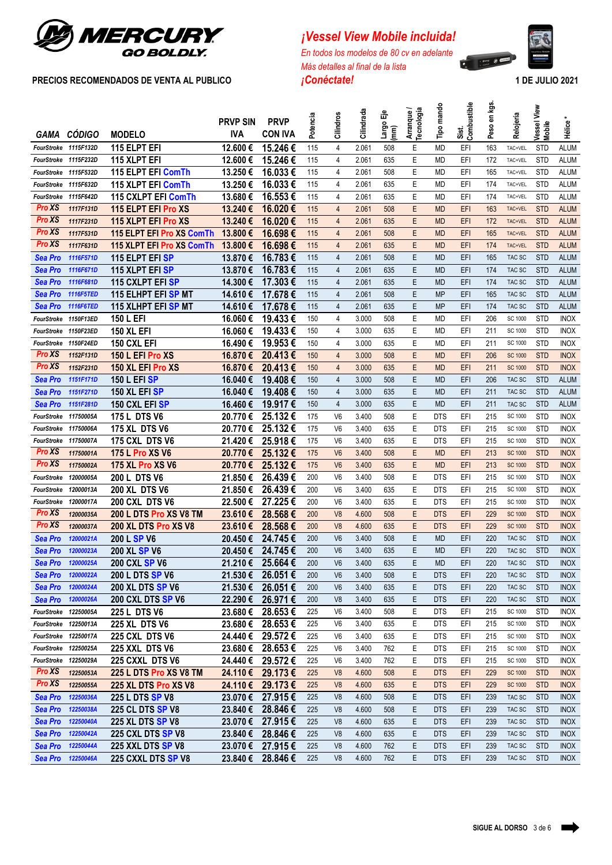

# *¡Vessel View Mobile incluida!*

*En todos los modelos de 80 cv en adelante Más detalles al final de la lista*



|                      |                          |                                          | <b>PRVP SIN</b>    | <b>PRVP</b>        | Potencia   | Cilindros      | Cilindrada     | 偳<br>Largo<br>mm | Arranque /<br><b>Tecnología</b> | Tipo mando             | Sist.<br>Combustible | en kgs.<br>Peso | Relojería                        | View<br>Vessel<br><b>Mobile</b> | Hélice                     |
|----------------------|--------------------------|------------------------------------------|--------------------|--------------------|------------|----------------|----------------|------------------|---------------------------------|------------------------|----------------------|-----------------|----------------------------------|---------------------------------|----------------------------|
|                      | GAMA CÓDIGO              | <b>MODELO</b>                            | <b>IVA</b>         | <b>CON IVA</b>     |            |                |                |                  |                                 |                        |                      |                 |                                  |                                 |                            |
| FourStroke 1115F132D |                          | <b>115 ELPT EFI</b>                      | 12.600€            | 15.246€            | 115        | 4              | 2.061          | 508              | Ε                               | <b>MD</b>              | EFI                  | 163             | TAC+VEL                          | <b>STD</b>                      | <b>ALUM</b>                |
|                      | FourStroke 1115F232D     | 115 XLPT EFI                             | 12.600€            | 15.246€            | 115        | 4              | 2.061          | 635              | Ε                               | <b>MD</b>              | EFI                  | 172             | TAC+VEL                          | <b>STD</b>                      | <b>ALUM</b>                |
|                      | FourStroke 1115F532D     | 115 ELPT EFI ComTh                       | 13.250€            | 16.033€            | 115        | 4              | 2.061          | 508              | Ε                               | <b>MD</b>              | EFI                  | 165             | TAC+VEL                          | <b>STD</b>                      | <b>ALUM</b>                |
| FourStroke 1115F632D |                          | 115 XLPT EFI ComTh                       | 13.250€            | 16.033€            | 115        | 4              | 2.061          | 635              | E                               | <b>MD</b>              | EFI                  | 174             | TAC+VEL                          | <b>STD</b>                      | <b>ALUM</b>                |
| FourStroke           | 1115F642D                | 115 CXLPT EFI ComTh                      | 13.680€            | 16.553€            | 115        | 4              | 2.061          | 635              | E                               | <b>MD</b>              | EFI                  | 174             | TAC+VEL                          | <b>STD</b>                      | <b>ALUM</b>                |
| <b>Pro XS</b>        | 1117F131D                | 115 ELPT EFI Pro XS                      | 13.240€            | 16.020€            | 115        | $\overline{4}$ | 2.061          | 508              | E                               | <b>MD</b>              | EFI                  | 163             | TAC+VEL                          | <b>STD</b>                      | <b>ALUM</b>                |
| <b>Pro XS</b>        | 1117F231D                | 115 XLPT EFI Pro XS                      | 13.240€            | 16.020€            | 115        | $\overline{4}$ | 2.061          | 635              | E                               | <b>MD</b>              | EFI                  | 172             | TAC+VEL                          | <b>STD</b>                      | <b>ALUM</b>                |
| <b>Pro XS</b>        | 1117F531D                | 115 ELPT EFI Pro XS ComTh                | 13,800€            | 16.698€            | 115        | $\overline{4}$ | 2.061          | 508              | E                               | <b>MD</b>              | EFI                  | 165             | TAC+VEL                          | <b>STD</b>                      | <b>ALUM</b>                |
| Pro XS               | 1117F631D                | 115 XLPT EFI Pro XS ComTh                | 13,800€            | 16.698€            | 115        | $\overline{4}$ | 2.061          | 635              | E                               | <b>MD</b>              | EFI                  | 174             | TAC+VEL                          | <b>STD</b>                      | <b>ALUM</b>                |
| Sea Pro              | 1116F571D                | <b>115 ELPT EFI SP</b>                   | 13.870€            | 16.783€            | 115        | $\overline{4}$ | 2.061          | 508              | E                               | <b>MD</b>              | EFI                  | 165             | TAC SC                           | <b>STD</b>                      | <b>ALUM</b>                |
| Sea Pro              | 1116F671D                | 115 XLPT EFI SP                          | 13.870€            | 16.783€            | 115        | $\overline{4}$ | 2.061          | 635              | Ε                               | <b>MD</b>              | EFI                  | 174             | TAC SC                           | <b>STD</b>                      | <b>ALUM</b>                |
| Sea Pro              | 1116F681D                | 115 CXLPT EFI SP                         | 14.300€            | 17.303€            | 115        | 4              | 2.061          | 635              | Ε                               | <b>MD</b>              | EFI                  | 174             | TAC SC                           | <b>STD</b>                      | <b>ALUM</b>                |
| Sea Pro              | <b>1116F5TED</b>         | 115 ELHPT EFI SP MT                      | 14.610€            | 17.678€            | 115        | 4              | 2.061          | 508              | Ε                               | <b>MP</b>              | EFI                  | 165             | TAC SC                           | <b>STD</b>                      | <b>ALUM</b>                |
| Sea Pro              | 1116F6TED                | 115 XLHPT EFI SP MT                      | 14.610€            | 17.678€            | 115        | $\overline{4}$ | 2.061          | 635              | Ε                               | <b>MP</b>              | EFI                  | 174             | TAC SC                           | <b>STD</b>                      | <b>ALUM</b>                |
| FourStroke           | <b>1150F13ED</b>         | 150 L EFI                                | 16.060€            | 19.433€            | 150        | 4              | 3.000          | 508              | Ε                               | MD                     | EFI                  | 206             | SC 1000                          | <b>STD</b>                      | <b>INOX</b>                |
| FourStroke 1150F23ED |                          | <b>150 XL EFI</b>                        | 16.060€            | 19.433€            | 150        | 4<br>4         | 3.000          | 635<br>635       | Ε<br>E                          | MD                     | EFI                  | 211             | SC 1000                          | <b>STD</b><br><b>STD</b>        | <b>INOX</b>                |
| <b>Pro XS</b>        | FourStroke 1150F24ED     | 150 CXL EFI                              | 16.490€            | 19.953€<br>20.413€ | 150<br>150 | $\overline{4}$ | 3.000<br>3.000 | 508              | E                               | <b>MD</b>              | EFI<br>EFI           | 211<br>206      | SC 1000                          | <b>STD</b>                      | <b>INOX</b><br><b>INOX</b> |
| <b>Pro XS</b>        | 1152F131D                | 150 L EFI Pro XS                         | 16.870€            | 20.413€            | 150        | $\overline{4}$ | 3.000          | 635              | E                               | <b>MD</b>              | EFI                  | 211             | <b>SC 1000</b><br><b>SC 1000</b> | <b>STD</b>                      | <b>INOX</b>                |
| <b>Sea Pro</b>       | 1152F231D<br>1151F171D   | 150 XL EFI Pro XS<br><b>150 L EFI SP</b> | 16.870€<br>16.040€ | 19.408€            | 150        | $\overline{4}$ | 3.000          | 508              | E                               | <b>MD</b><br><b>MD</b> | EFI                  | 206             | TAC SC                           | <b>STD</b>                      | <b>ALUM</b>                |
| <b>Sea Pro</b>       | 1151F271D                | 150 XL EFI SP                            | 16.040€            | 19.408€            | 150        | $\overline{4}$ | 3.000          | 635              | E                               | <b>MD</b>              | EFI                  | 211             | TAC SC                           | <b>STD</b>                      | <b>ALUM</b>                |
| <b>Sea Pro</b>       | 1151F281D                | 150 CXL EFI SP                           | 16.460€            | 19.917€            | 150        | $\overline{4}$ | 3.000          | 635              | E                               | <b>MD</b>              | EFI                  | 211             | TAC SC                           | <b>STD</b>                      | <b>ALUM</b>                |
| FourStroke           | 11750005A                | <b>175 L DTS V6</b>                      | 20.770€            | 25.132€            | 175        | V <sub>6</sub> | 3.400          | 508              | E                               | <b>DTS</b>             | EFI                  | 215             | SC 1000                          | <b>STD</b>                      | <b>INOX</b>                |
| FourStroke           | 11750006A                | <b>175 XL DTS V6</b>                     | 20.770€            | 25.132€            | 175        | V <sub>6</sub> | 3.400          | 635              | Ε                               | <b>DTS</b>             | EFI                  | 215             | SC 1000                          | <b>STD</b>                      | <b>INOX</b>                |
| FourStroke           | 11750007A                | 175 CXL DTS V6                           | 21.420€            | 25.918€            | 175        | V <sub>6</sub> | 3.400          | 635              | E                               | <b>DTS</b>             | EFI                  | 215             | SC 1000                          | <b>STD</b>                      | <b>INOX</b>                |
| <b>Pro XS</b>        | 11750001A                | 175 L Pro XS V6                          | 20.770€            | 25.132€            | 175        | V <sub>6</sub> | 3.400          | 508              | E                               | <b>MD</b>              | EFI                  | 213             | <b>SC 1000</b>                   | <b>STD</b>                      | <b>INOX</b>                |
| <b>Pro XS</b>        | 11750002A                | <b>175 XL Pro XS V6</b>                  | 20.770€            | 25.132€            | 175        | V <sub>6</sub> | 3.400          | 635              | E                               | <b>MD</b>              | EFI                  | 213             | <b>SC 1000</b>                   | <b>STD</b>                      | <b>INOX</b>                |
| FourStroke           | 12000005A                | 200 L DTS V6                             | 21.850€            | 26.439€            | 200        | V <sub>6</sub> | 3.400          | 508              | Ε                               | <b>DTS</b>             | EFI                  | 215             | SC 1000                          | <b>STD</b>                      | <b>INOX</b>                |
| FourStroke           | 12000013A                | <b>200 XL DTS V6</b>                     | 21.850€            | 26.439€            | 200        | V <sub>6</sub> | 3.400          | 635              | Ε                               | <b>DTS</b>             | EFI                  | 215             | SC 1000                          | <b>STD</b>                      | <b>INOX</b>                |
| FourStroke           | 12000017A                | 200 CXL DTS V6                           | 22.500€            | 27.225€            | 200        | V <sub>6</sub> | 3.400          | 635              | Ε                               | <b>DTS</b>             | EFI                  | 215             | SC 1000                          | <b>STD</b>                      | <b>INOX</b>                |
| <b>Pro XS</b>        | 12000035A                | 200 L DTS Pro XS V8 TM                   | 23.610€            | 28.568€            | 200        | V <sub>8</sub> | 4.600          | 508              | E                               | <b>DTS</b>             | EFI                  | 229             | <b>SC 1000</b>                   | <b>STD</b>                      | <b>INOX</b>                |
| Pro XS               | 12000037A                | 200 XL DTS Pro XS V8                     | 23.610€            | 28.568€            | 200        | V <sub>8</sub> | 4.600          | 635              | Ε                               | <b>DTS</b>             | EFI                  | 229             | <b>SC 1000</b>                   | <b>STD</b>                      | <b>INOX</b>                |
| <b>Sea Pro</b>       | 12000021A                | 200 L SP V6                              | 20.450€            | 24.745€            | 200        | V <sub>6</sub> | 3.400          | 508              | E                               | <b>MD</b>              | EFI                  | 220             | TAC SC                           | <b>STD</b>                      | <b>INOX</b>                |
| <b>Sea Pro</b>       | 12000023A                | <b>200 XL SP V6</b>                      | 20.450€            | 24.745€            | 200        | V <sub>6</sub> | 3.400          | 635              | E                               | <b>MD</b>              | EFI                  | 220             | TAC SC                           | <b>STD</b>                      | <b>INOX</b>                |
|                      | Sea Pro 12000025A        | 200 CXL SP V6                            |                    | 21.210 € 25.664 €  | 200        | V6             | 3.400          | 635              | F.                              | MD                     | 배                    | 220             | TAC SC                           | <b>STD</b>                      | <b>INOX</b>                |
| <b>Sea Pro</b>       | 12000022A                | <b>200 L DTS SP V6</b>                   | 21.530€            | 26.051€            | 200        | V <sub>6</sub> | 3.400          | 508              | Ε                               | <b>DTS</b>             | EFI                  | 220             | TAC SC                           | <b>STD</b>                      | <b>INOX</b>                |
|                      | <b>Sea Pro</b> 12000024A | 200 XL DTS SP V6                         | 21.530€            | 26.051€            | 200        | V <sub>6</sub> | 3.400          | 635              | Ε                               | <b>DTS</b>             | EFI                  | 220             | TAC SC                           | <b>STD</b>                      | <b>INOX</b>                |
| Sea Pro              | 12000026A                | 200 CXL DTS SP V6                        | 22.290€            | 26.971€            | 200        | V <sub>8</sub> | 3.400          | 635              | Ε                               | <b>DTS</b>             | EFI                  | 220             | TAC SC                           | <b>STD</b>                      | <b>INOX</b>                |
| FourStroke 12250005A |                          | 225 L DTS V6                             | 23,680€            | 28.653€            | 225        | V <sub>6</sub> | 3.400          | 508              | Ε                               | <b>DTS</b>             | EFI                  | 215             | SC 1000                          | <b>STD</b>                      | <b>INOX</b>                |
| FourStroke 12250013A |                          | 225 XL DTS V6                            | 23.680€            | 28.653€            | 225        | V6             | 3.400          | 635              | Ε                               | <b>DTS</b>             | EFI                  | 215             | SC 1000                          | <b>STD</b>                      | <b>INOX</b>                |
| FourStroke 12250017A |                          | 225 CXL DTS V6                           | 24.440€            | 29.572€            | 225        | V6             | 3.400          | 635              | Ε                               | <b>DTS</b>             | EFI                  | 215             | SC 1000                          | <b>STD</b>                      | <b>INOX</b>                |
| FourStroke 12250025A |                          | 225 XXL DTS V6                           | 23.680€            | 28.653€            | 225        | V6             | 3.400          | 762              | Ε                               | <b>DTS</b>             | EFI                  | 215             | SC 1000                          | <b>STD</b>                      | <b>INOX</b>                |
| FourStroke 12250029A |                          | 225 CXXL DTS V6                          | 24.440€            | 29.572€            | 225        | V6             | 3.400          | 762              | Ε                               | <b>DTS</b>             | EFI                  | 215             | SC 1000                          | <b>STD</b>                      | <b>INOX</b>                |
| <b>Pro</b> XS        | 12250053A                | 225 L DTS Pro XS V8 TM                   |                    | 24.110 € 29.173 €  | 225        | V <sub>8</sub> | 4.600          | 508              | Ε                               | <b>DTS</b>             | EFI                  | 229             | <b>SC 1000</b>                   | <b>STD</b>                      | <b>INOX</b>                |
| <b>Pro XS</b>        | 12250055A                | 225 XL DTS Pro XS V8                     |                    | 24.110 € 29.173 €  | 225        | V <sub>8</sub> | 4.600          | 635              | Ε                               | <b>DTS</b>             | EFI                  | 229             | <b>SC 1000</b>                   | <b>STD</b>                      | <b>INOX</b>                |
| Sea Pro              | 12250036A                | 225 L DTS SP V8                          | 23.070€            | 27.915€            | 225        | V8             | 4.600          | 508              | Ε                               | <b>DTS</b>             | EFI                  | 239             | TAC SC                           | <b>STD</b>                      | <b>INOX</b>                |
| Sea Pro              | 12250038A                | <b>225 CL DTS SP V8</b>                  | 23.840€            | 28.846€            | 225        | V8             | 4.600          | 508              | Ε                               | <b>DTS</b>             | EFI                  | 239             | TAC SC                           | <b>STD</b>                      | <b>INOX</b>                |
|                      | Sea Pro 12250040A        | <b>225 XL DTS SP V8</b>                  | 23.070 €           | 27.915€            | 225        | V <sub>8</sub> | 4.600          | 635              | Ε                               | <b>DTS</b>             | EFI                  | 239             | TAC SC                           | <b>STD</b>                      | <b>INOX</b>                |
|                      | <b>Sea Pro</b> 12250042A | <b>225 CXL DTS SP V8</b>                 | 23.840€            | 28.846€            | 225        | V <sub>8</sub> | 4.600          | 635              | Ε                               | <b>DTS</b>             | EFI                  | 239             | TAC SC                           | <b>STD</b>                      | <b>INOX</b>                |
|                      | Sea Pro 12250044A        | <b>225 XXL DTS SP V8</b>                 | 23.070€            | 27.915 €           | 225        | V <sub>8</sub> | 4.600          | 762              | Ε                               | <b>DTS</b>             | EFI                  | 239             | TAC SC                           | <b>STD</b>                      | <b>INOX</b>                |
|                      | Sea Pro 12250046A        | 225 CXXL DTS SP V8                       | 23.840€            | 28.846€            | 225        | V <sub>8</sub> | 4.600          | 762              | Ε                               | <b>DTS</b>             | EFI                  | 239             | TAC SC                           | <b>STD</b>                      | <b>INOX</b>                |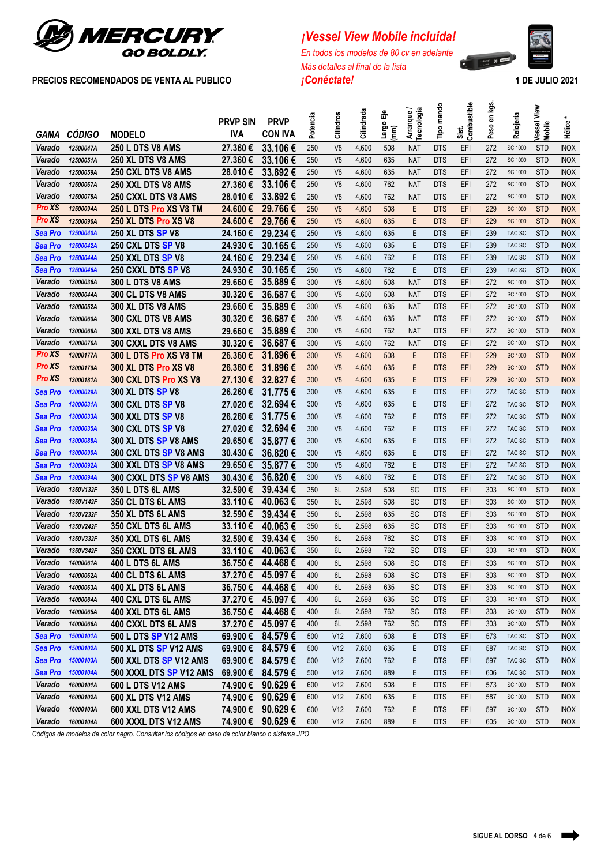

# *<i>¡Vessel View Mobile incluida!*

*En todos los modelos de 80 cv en adelante Más detalles al final de la lista*



| GAMA             | <b>CÓDIGO</b>          | <b>MODELO</b>                            | <b>PRVP SIN</b><br><b>IVA</b> | <b>PRVP</b><br><b>CON IVA</b> | Potencia   | Cilindros       | Cilindrada     | 偳<br>Largo<br>mm | Arranque /<br><b>Tecnología</b> | Tipo mando               | Sist.<br>Combustible | en kgs.<br>Peso | Relojería                 | View<br>Vessel<br>Mobile | Hélice                     |
|------------------|------------------------|------------------------------------------|-------------------------------|-------------------------------|------------|-----------------|----------------|------------------|---------------------------------|--------------------------|----------------------|-----------------|---------------------------|--------------------------|----------------------------|
| Verado           | 12500047A              | <b>250 L DTS V8 AMS</b>                  | 27.360€                       | 33.106€                       | 250        | V <sub>8</sub>  | 4.600          | 508              | <b>NAT</b>                      | <b>DTS</b>               | EFI                  | 272             | SC 1000                   | <b>STD</b>               | <b>INOX</b>                |
| Verado           | 12500051A              | 250 XL DTS V8 AMS                        | 27.360€                       | 33.106€                       | 250        | V <sub>8</sub>  | 4.600          | 635              | <b>NAT</b>                      | <b>DTS</b>               | EFI                  | 272             | SC 1000                   | <b>STD</b>               | <b>INOX</b>                |
| Verado           | 12500059A              | 250 CXL DTS V8 AMS                       | 28.010€                       | 33,892€                       | 250        | V <sub>8</sub>  | 4.600          | 635              | <b>NAT</b>                      | <b>DTS</b>               | EFI                  | 272             | <b>SC 1000</b>            | <b>STD</b>               | <b>INOX</b>                |
| Verado           | 12500067A              | 250 XXL DTS V8 AMS                       | 27.360€                       | 33.106€                       | 250        | V <sub>8</sub>  | 4.600          | 762              | <b>NAT</b>                      | <b>DTS</b>               | EFI                  | 272             | <b>SC 1000</b>            | <b>STD</b>               | <b>INOX</b>                |
| Verado           | 12500075A              | 250 CXXL DTS V8 AMS                      | 28.010€                       | 33.892€                       | 250        | V <sub>8</sub>  | 4.600          | 762              | <b>NAT</b>                      | <b>DTS</b>               | EFI                  | 272             | <b>SC 1000</b>            | <b>STD</b>               | <b>INOX</b>                |
| Pro XS           | 12500094A              | 250 L DTS Pro XS V8 TM                   | 24.600€                       | 29.766€                       | 250        | V <sub>8</sub>  | 4.600          | 508              | E                               | <b>DTS</b>               | EFI                  | 229             | <b>SC 1000</b>            | <b>STD</b>               | <b>INOX</b>                |
| <b>Pro XS</b>    | 12500096A              | 250 XL DTS Pro XS V8                     | 24.600€                       | 29.766€                       | 250        | V <sub>8</sub>  | 4.600          | 635              | E                               | <b>DTS</b>               | EFI                  | 229             | <b>SC 1000</b>            | <b>STD</b>               | <b>INOX</b>                |
| <b>Sea Pro</b>   | 12500040A              | <b>250 XL DTS SP V8</b>                  | 24.160€                       | 29.234€                       | 250        | V <sub>8</sub>  | 4.600          | 635              | Ε                               | <b>DTS</b>               | EFI                  | 239             | TAC SC                    | <b>STD</b>               | <b>INOX</b>                |
| <b>Sea Pro</b>   | 12500042A              | 250 CXL DTS SP V8                        | 24.930€                       | 30.165€                       | 250        | V <sub>8</sub>  | 4.600          | 635              | E                               | <b>DTS</b>               | EFI                  | 239             | TAC SC                    | <b>STD</b>               | <b>INOX</b>                |
| Sea Pro          | 12500044A              | 250 XXL DTS SP V8                        | 24.160€                       | 29.234€                       | 250        | V <sub>8</sub>  | 4.600          | 762              | E                               | <b>DTS</b>               | EFI                  | 239             | TAC SC                    | <b>STD</b>               | <b>INOX</b>                |
| <b>Sea Pro</b>   | 12500046A              | 250 CXXL DTS SP V8                       | 24.930€                       | 30.165€                       | 250        | V <sub>8</sub>  | 4.600          | 762              | E                               | <b>DTS</b>               | EFI                  | 239             | TAC SC                    | <b>STD</b>               | <b>INOX</b>                |
| Verado           | 13000036A              | <b>300 L DTS V8 AMS</b>                  | 29.660€                       | 35.889€                       | 300        | V <sub>8</sub>  | 4.600          | 508              | <b>NAT</b>                      | <b>DTS</b>               | EFI                  | 272             | <b>SC 1000</b>            | <b>STD</b>               | <b>INOX</b>                |
| Verado           | 13000044A              | 300 CL DTS V8 AMS                        | 30.320€                       | 36.687€                       | 300        | V <sub>8</sub>  | 4.600          | 508              | <b>NAT</b>                      | <b>DTS</b>               | EFI                  | 272             | SC 1000                   | <b>STD</b>               | <b>INOX</b>                |
| Verado           | 13000052A              | 300 XL DTS V8 AMS                        | 29.660€                       | 35.889€                       | 300        | V <sub>8</sub>  | 4.600          | 635              | <b>NAT</b>                      | <b>DTS</b>               | EFI                  | 272             | SC 1000                   | <b>STD</b>               | <b>INOX</b>                |
| Verado           | 13000060A              | 300 CXL DTS V8 AMS                       | 30.320€                       | 36.687€                       | 300        | V <sub>8</sub>  | 4.600          | 635              | <b>NAT</b>                      | <b>DTS</b>               | EFI                  | 272             | SC 1000                   | <b>STD</b>               | <b>INOX</b>                |
| Verado           | 13000068A              | 300 XXL DTS V8 AMS                       | 29.660€                       | 35.889€                       | 300        | V <sub>8</sub>  | 4.600          | 762              | <b>NAT</b>                      | <b>DTS</b>               | EFI                  | 272             | SC 1000                   | <b>STD</b>               | <b>INOX</b>                |
| Verado           | 13000076A              | 300 CXXL DTS V8 AMS                      | 30.320€                       | 36.687€                       | 300        | V <sub>8</sub>  | 4.600          | 762              | <b>NAT</b>                      | <b>DTS</b>               | EFI                  | 272             | SC 1000                   | <b>STD</b>               | <b>INOX</b>                |
| Pro XS           | 13000177A              | 300 L DTS Pro XS V8 TM                   | 26.360€                       | 31.896€                       | 300        | V <sub>8</sub>  | 4.600          | 508              | E                               | <b>DTS</b>               | EFI                  | 229             | <b>SC 1000</b>            | <b>STD</b>               | <b>INOX</b>                |
| Pro XS           | 13000179A              | 300 XL DTS Pro XS V8                     | 26.360€                       | 31.896€                       | 300        | V <sub>8</sub>  | 4.600          | 635              | E                               | <b>DTS</b>               | EFI                  | 229             | <b>SC 1000</b>            | <b>STD</b>               | <b>INOX</b>                |
| <b>Pro XS</b>    | 13000181A              | 300 CXL DTS Pro XS V8                    | 27.130€                       | 32.827€                       | 300        | V <sub>8</sub>  | 4.600          | 635              | E                               | <b>DTS</b>               | EFI                  | 229             | <b>SC 1000</b>            | <b>STD</b>               | <b>INOX</b>                |
| <b>Sea Pro</b>   | 13000029A              | 300 XL DTS SP V8                         | 26.260€                       | 31.775€                       | 300        | V <sub>8</sub>  | 4.600          | 635              | Ε                               | <b>DTS</b>               | EFI                  | 272             | TAC SC                    | <b>STD</b>               | <b>INOX</b>                |
| <b>Sea Pro</b>   | 13000031A              | <b>300 CXL DTS SP V8</b>                 | 27.020€                       | 32.694€                       | 300        | V <sub>8</sub>  | 4.600          | 635              | Ε                               | <b>DTS</b>               | EFI                  | 272             | TAC SC                    | <b>STD</b>               | <b>INOX</b>                |
| <b>Sea Pro</b>   | 13000033A              | <b>300 XXL DTS SP V8</b>                 | 26.260€                       | 31.775€                       | 300        | V <sub>8</sub>  | 4.600          | 762              | E                               | <b>DTS</b>               | EFI                  | 272             | TAC SC                    | <b>STD</b>               | <b>INOX</b>                |
| <b>Sea Pro</b>   | 13000035A              | <b>300 CXL DTS SP V8</b>                 | 27.020€                       | 32.694€                       | 300        | V <sub>8</sub>  | 4.600          | 762              | Ε                               | <b>DTS</b>               | EFI                  | 272             | TAC SC                    | <b>STD</b>               | <b>INOX</b>                |
| <b>Sea Pro</b>   | 13000088A              | 300 XL DTS SP V8 AMS                     | 29.650€                       | 35.877€                       | 300        | V <sub>8</sub>  | 4.600          | 635              | E                               | <b>DTS</b>               | EFI                  | 272             | TAC SC                    | <b>STD</b>               | <b>INOX</b>                |
| <b>Sea Pro</b>   | 13000090A              | 300 CXL DTS SP V8 AMS                    | 30.430€                       | 36.820€                       | 300        | V <sub>8</sub>  | 4.600          | 635              | Ε                               | <b>DTS</b>               | EFI                  | 272             | TAC SC                    | <b>STD</b>               | <b>INOX</b>                |
| <b>Sea Pro</b>   | 13000092A              | 300 XXL DTS SP V8 AMS                    | 29.650€                       | 35.877€                       | 300        | V <sub>8</sub>  | 4.600          | 762              | Ε                               | <b>DTS</b>               | EFI                  | 272             | TAC SC                    | <b>STD</b>               | <b>INOX</b>                |
| Sea Pro          | 13000094A              | 300 CXXL DTS SP V8 AMS                   | 30.430€                       | 36.820€                       | 300        | V <sub>8</sub>  | 4.600          | 762              | Ε                               | <b>DTS</b>               | EFI                  | 272             | TAC SC                    | <b>STD</b>               | <b>INOX</b>                |
| Verado           | 1350V132F              | 350 L DTS 6L AMS                         | 32.590€                       | 39.434€                       | 350        | 6L              | 2.598          | 508              | <b>SC</b>                       | <b>DTS</b>               | EFI                  | 303             | <b>SC 1000</b>            | <b>STD</b>               | <b>INOX</b>                |
| Verado           | 1350V142F              | 350 CL DTS 6L AMS                        | 33.110€                       | 40.063€                       | 350        | 6L<br>6L        | 2.598          | 508<br>635       | <b>SC</b><br><b>SC</b>          | <b>DTS</b>               | EFI                  | 303<br>303      | <b>SC 1000</b>            | <b>STD</b><br><b>STD</b> | <b>INOX</b>                |
| Verado<br>Verado | 1350V232F<br>1350V242F | 350 XL DTS 6L AMS                        | 32.590€                       | 39.434€<br>40.063€            | 350<br>350 | 6L              | 2.598<br>2.598 | 635              | <b>SC</b>                       | <b>DTS</b><br><b>DTS</b> | EFI<br>EFI           | 303             | <b>SC 1000</b><br>SC 1000 | <b>STD</b>               | <b>INOX</b><br><b>INOX</b> |
| Verado           | 1350V332F              | 350 CXL DTS 6L AMS<br>350 XXL DTS 6L AMS | 33.110€<br>32.590€            | 39.434€                       | 350        | 6L              | 2.598          | 762              | <b>SC</b>                       | <b>DTS</b>               | EFI                  | 303             | <b>SC 1000</b>            | <b>STD</b>               | <b>INOX</b>                |
| Verado           | 1350V342F              | 350 CXXL DTS 6L AMS                      | 33.110€                       | 40.063€                       | 350        | 6L              | 2.598          | 762              | <b>SC</b>                       | <b>DTS</b>               | EFI                  | 303             | SC 1000                   | <b>STD</b>               | <b>INOX</b>                |
| Verado           | 14000061A              | 400 L DTS 6L AMS                         |                               | 36.750 € 44.468 €             | 400        | 6L              | 2.598          | 508              | SC                              | <b>DTS</b>               | EFI                  | 303             | SC 1000                   | <b>STD</b>               | <b>INOX</b>                |
| Verado           | 14000062A              | 400 CL DTS 6L AMS                        | 37.270 €                      | 45.097€                       | 400        | 6L              | 2.598          | 508              | <b>SC</b>                       | <b>DTS</b>               | EFI                  | 303             | SC 1000                   | <b>STD</b>               | <b>INOX</b>                |
| Verado           | 14000063A              | 400 XL DTS 6L AMS                        | 36.750€                       | 44.468€                       | 400        | 6L              | 2.598          | 635              | SC                              | <b>DTS</b>               | EFI                  | 303             | SC 1000                   | <b>STD</b>               | <b>INOX</b>                |
| Verado           | 14000064A              | <b>400 CXL DTS 6L AMS</b>                | 37.270 €                      | 45.097€                       | 400        | 6L              | 2.598          | 635              | <b>SC</b>                       | <b>DTS</b>               | EFI                  | 303             | SC 1000                   | <b>STD</b>               | <b>INOX</b>                |
| Verado           | 14000065A              | 400 XXL DTS 6L AMS                       | 36.750€                       | 44.468€                       | 400        | 6L              | 2.598          | 762              | <b>SC</b>                       | <b>DTS</b>               | EFI                  | 303             | SC 1000                   | <b>STD</b>               | <b>INOX</b>                |
| Verado           | 14000066A              | 400 CXXL DTS 6L AMS                      | 37.270 €                      | 45.097€                       | 400        | 6L              | 2.598          | 762              | <b>SC</b>                       | <b>DTS</b>               | EFI                  | 303             | SC 1000                   | <b>STD</b>               | <b>INOX</b>                |
| <b>Sea Pro</b>   | 15000101A              | 500 L DTS SP V12 AMS                     | 69.900 €                      | 84.579€                       | 500        | V <sub>12</sub> | 7.600          | 508              | Ε                               | <b>DTS</b>               | EFI                  | 573             | TAC SC                    | <b>STD</b>               | <b>INOX</b>                |
| <b>Sea Pro</b>   | 15000102A              | 500 XL DTS SP V12 AMS                    | 69.900€                       | 84.579€                       | 500        | V <sub>12</sub> | 7.600          | 635              | Ε                               | <b>DTS</b>               | EFI                  | 587             | TAC SC                    | <b>STD</b>               | <b>INOX</b>                |
| <b>Sea Pro</b>   | 15000103A              | 500 XXL DTS SP V12 AMS                   | 69.900€                       | 84.579€                       | 500        | V <sub>12</sub> | 7.600          | 762              | Ε                               | <b>DTS</b>               | EFI                  | 597             | TAC SC                    | <b>STD</b>               | <b>INOX</b>                |
| <b>Sea Pro</b>   | 15000104A              | 500 XXXL DTS SP V12 AMS                  | 69.900€                       | 84.579€                       | 500        | V12             | 7.600          | 889              | Ε                               | <b>DTS</b>               | EFI                  | 606             | TAC SC                    | <b>STD</b>               | <b>INOX</b>                |
| Verado           | 16000101A              | 600 L DTS V12 AMS                        | 74.900€                       | 90.629€                       | 600        | V12             | 7.600          | 508              | Ε                               | <b>DTS</b>               | EFI                  | 573             | SC 1000                   | <b>STD</b>               | <b>INOX</b>                |
| Verado           | 16000102A              | <b>600 XL DTS V12 AMS</b>                | 74.900€                       | 90.629€                       | 600        | V <sub>12</sub> | 7.600          | 635              | Ε                               | <b>DTS</b>               | EFI                  | 587             | SC 1000                   | <b>STD</b>               | <b>INOX</b>                |
| Verado           | 16000103A              | 600 XXL DTS V12 AMS                      | 74.900 €                      | 90.629€                       | 600        | V12             | 7.600          | 762              | Ε                               | <b>DTS</b>               | EFI                  | 597             | SC 1000                   | <b>STD</b>               | <b>INOX</b>                |
| Verado           | 16000104A              | 600 XXXL DTS V12 AMS                     | 74.900 €                      | 90.629€                       | 600        | V12             | 7.600          | 889              | Ε                               | <b>DTS</b>               | EFI                  | 605             | SC 1000                   | <b>STD</b>               | <b>INOX</b>                |

*Códigos de modelos de color negro. Consultar los códigos en caso de color blanco o sistema JPO*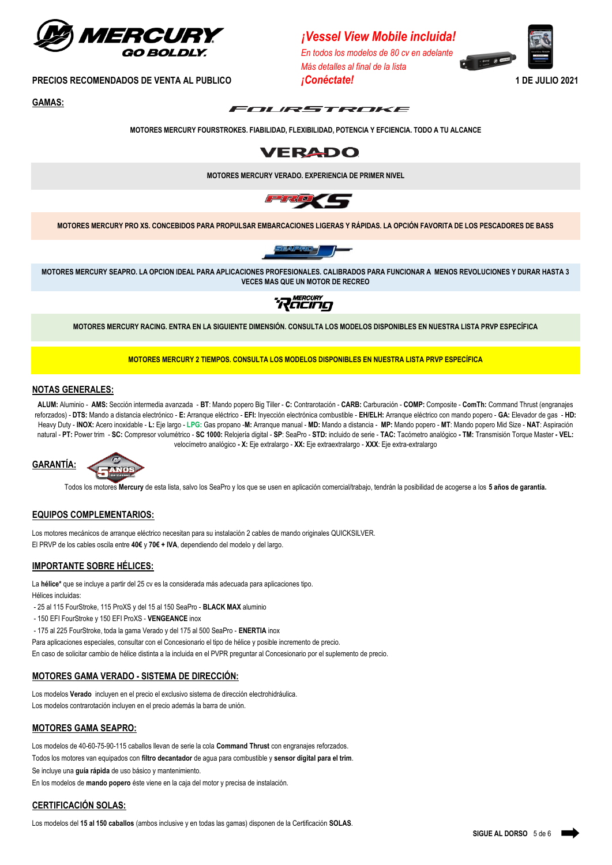

**GAMAS:**



*Más detalles al final de la lista*

*¡Vessel View Mobile incluida! En todos los modelos de 80 cv en adelante*



**MOTORES MERCURY FOURSTROKES. FIABILIDAD, FLEXIBILIDAD, POTENCIA Y EFCIENCIA. TODO A TU ALCANCE**



**MOTORES MERCURY VERADO. EXPERIENCIA DE PRIMER NIVEL**



**MOTORES MERCURY PRO XS. CONCEBIDOS PARA PROPULSAR EMBARCACIONES LIGERAS Y RÁPIDAS. LA OPCIÓN FAVORITA DE LOS PESCADORES DE BASS**



**MOTORES MERCURY SEAPRO. LA OPCION IDEAL PARA APLICACIONES PROFESIONALES. CALIBRADOS PARA FUNCIONAR A MENOS REVOLUCIONES Y DURAR HASTA 3 VECES MAS QUE UN MOTOR DE RECREO**



**MOTORES MERCURY RACING. ENTRA EN LA SIGUIENTE DIMENSIÓN. CONSULTA LOS MODELOS DISPONIBLES EN NUESTRA LISTA PRVP ESPECÍFICA**

**MOTORES MERCURY 2 TIEMPOS. CONSULTA LOS MODELOS DISPONIBLES EN NUESTRA LISTA PRVP ESPECÍFICA**

#### **NOTAS GENERALES:**

**ALUM:** Aluminio - **AMS:** Sección intermedia avanzada - **BT**: Mando popero Big Tiller - **C:** Contrarotación - **CARB:** Carburación - **COMP:** Composite - **ComTh:** Command Thrust (engranajes reforzados) - DTS: Mando a distancia electrónico - E: Arranque eléctrico - EFI: Inyección electrónica combustible - EH/ELH: Arranque eléctrico con mando popero - GA: Elevador de gas - HD: Heavy Duty - INOX: Acero inoxidable - L: Eje largo - LPG: Gas propano -M: Arrangue manual - MD: Mando a distancia - MP: Mando popero - MT: Mando popero Mid Size - NAT: Aspiración natural - PT: Power trim - SC: Compresor volumétrico - SC 1000: Relojería digital - SP: SeaPro - STD: incluido de serie - TAC: Tacómetro analógico - TM: Transmisión Torque Master - VEL: velocímetro analógico **- X:** Eje extralargo - **XX:** Eje extraextralargo - **XXX**: Eje extra-extralargo





Todos los motores **Mercury** de esta lista, salvo los SeaPro y los que se usen en aplicación comercial/trabajo, tendrán la posibilidad de acogerse a los **5 años de garantía.**

#### **EQUIPOS COMPLEMENTARIOS:**

Los motores mecánicos de arranque eléctrico necesitan para su instalación 2 cables de mando originales QUICKSILVER. El PRVP de los cables oscila entre **40€** y **70€ + IVA**, dependiendo del modelo y del largo.

#### **IMPORTANTE SOBRE HÉLICES:**

La **hélice\*** que se incluye a partir del 25 cv es la considerada más adecuada para aplicaciones tipo. Hélices incluidas:

- 25 al 115 FourStroke, 115 ProXS y del 15 al 150 SeaPro - **BLACK MAX** aluminio

- 150 EFI FourStroke y 150 EFI ProXS - **VENGEANCE** inox

- 175 al 225 FourStroke, toda la gama Verado y del 175 al 500 SeaPro - **ENERTIA** inox

Para aplicaciones especiales, consultar con el Concesionario el tipo de hélice y posible incremento de precio.

En caso de solicitar cambio de hélice distinta a la incluida en el PVPR preguntar al Concesionario por el suplemento de precio.

#### **MOTORES GAMA VERADO - SISTEMA DE DIRECCIÓN:**

Los modelos **Verado** incluyen en el precio el exclusivo sistema de dirección electrohidráulica. Los modelos contrarotación incluyen en el precio además la barra de unión.

#### **MOTORES GAMA SEAPRO:**

Los modelos de 40-60-75-90-115 caballos llevan de serie la cola **Command Thrust** con engranajes reforzados.

Todos los motores van equipados con **filtro decantador** de agua para combustible y **sensor digital para el trim**.

Se incluye una **guía rápida** de uso básico y mantenimiento.

En los modelos de **mando popero** éste viene en la caja del motor y precisa de instalación.

### **CERTIFICACIÓN SOLAS:**

Los modelos del **15 al 150 caballos** (ambos inclusive y en todas las gamas) disponen de la Certificación **SOLAS**.